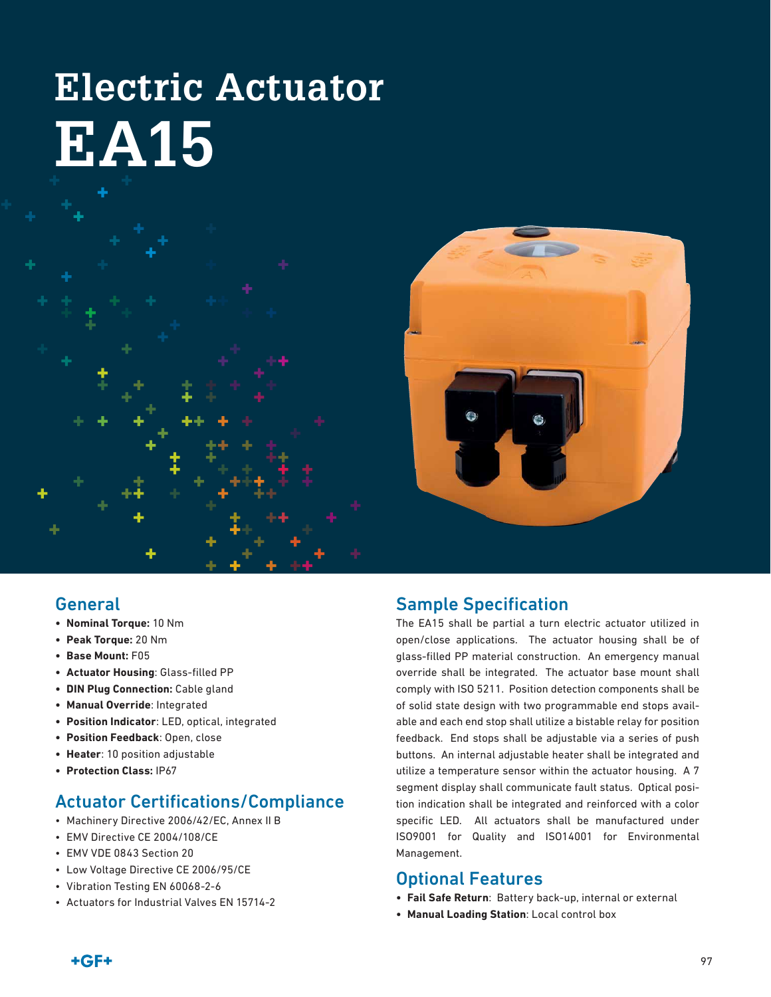# **Electric Actuator EA15**





#### General

- **• Nominal Torque:** 10 Nm
- **• Peak Torque:** 20 Nm
- **• Base Mount:** F05
- **• Actuator Housing**: Glass-filled PP
- **• DIN Plug Connection:** Cable gland
- **• Manual Override**: Integrated
- **• Position Indicator**: LED, optical, integrated
- **• Position Feedback**: Open, close
- **• Heater**: 10 position adjustable
- **• Protection Class:** IP67

### Actuator Certifications/Compliance

- Machinery Directive 2006/42/EC, Annex II B
- EMV Directive CE 2004/108/CE
- EMV VDE 0843 Section 20
- Low Voltage Directive CE 2006/95/CE
- Vibration Testing EN 60068-2-6
- Actuators for Industrial Valves EN 15714-2

#### Sample Specification

The EA15 shall be partial a turn electric actuator utilized in open/close applications. The actuator housing shall be of glass-filled PP material construction. An emergency manual override shall be integrated. The actuator base mount shall comply with ISO 5211. Position detection components shall be of solid state design with two programmable end stops available and each end stop shall utilize a bistable relay for position feedback. End stops shall be adjustable via a series of push buttons. An internal adjustable heater shall be integrated and utilize a temperature sensor within the actuator housing. A 7 segment display shall communicate fault status. Optical position indication shall be integrated and reinforced with a color specific LED. All actuators shall be manufactured under ISO9001 for Quality and ISO14001 for Environmental Management.

#### Optional Features

- **• Fail Safe Return**: Battery back-up, internal or external
- **• Manual Loading Station**: Local control box